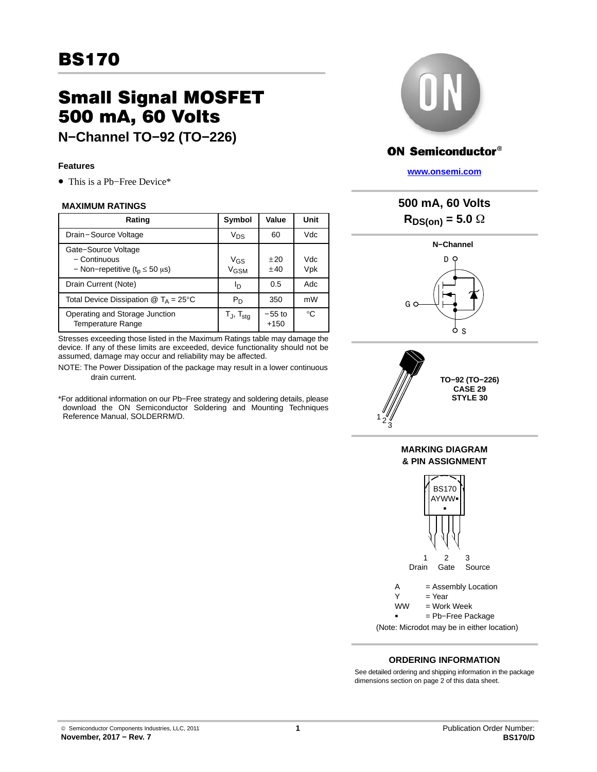## **BS170** <u>BS170</u>

# Small Signal MOSFET<br>500 mA, 60 Volts

**N−Channel TO−92 (TO-226)** 

### **Features**

• This is a Pb−Free Device\*

#### **MAXIMUM RATINGS**

| Rating                                                                         | Symbol                                    | Value              | Unit         |
|--------------------------------------------------------------------------------|-------------------------------------------|--------------------|--------------|
| Drain-Source Voltage                                                           | $V_{DS}$                                  | 60                 | Vdc          |
| Gate-Source Voltage<br>- Continuous<br>- Non-repetitive ( $t_p \le 50 \mu s$ ) | V <sub>GS</sub><br><b>V<sub>GSM</sub></b> | $+20$<br>±40       | Vdc.<br>Vpk  |
| Drain Current (Note)                                                           | םו                                        | 0.5                | Adc          |
| Total Device Dissipation $@T_A = 25^{\circ}C$                                  | $P_D$                                     | 350                | mW           |
| Operating and Storage Junction<br><b>Temperature Range</b>                     | $T_J$ , $T_{stg}$                         | $-55$ to<br>$+150$ | $^{\circ}$ C |

Stresses exceeding those listed in the Maximum Ratings table may damage the device. If any of these limits are exceeded, device functionality should not be assumed, damage may occur and reliability may be affected.

- NOTE: The Power Dissipation of the package may result in a lower continuous drain current.
- \*For additional information on our Pb−Free strategy and soldering details, please download the ON Semiconductor Soldering and Mounting Techniques Reference Manual, SOLDERRM/D.



## **ON Semiconductor®**

**[www.onsemi.com]( http://www.onsemi.com/)**





(Note: Microdot may be in either location)

## **ORDERING INFORMATION**

See detailed ordering and shipping information in the package dimensions section on page [2](#page-1-0) of this data sheet.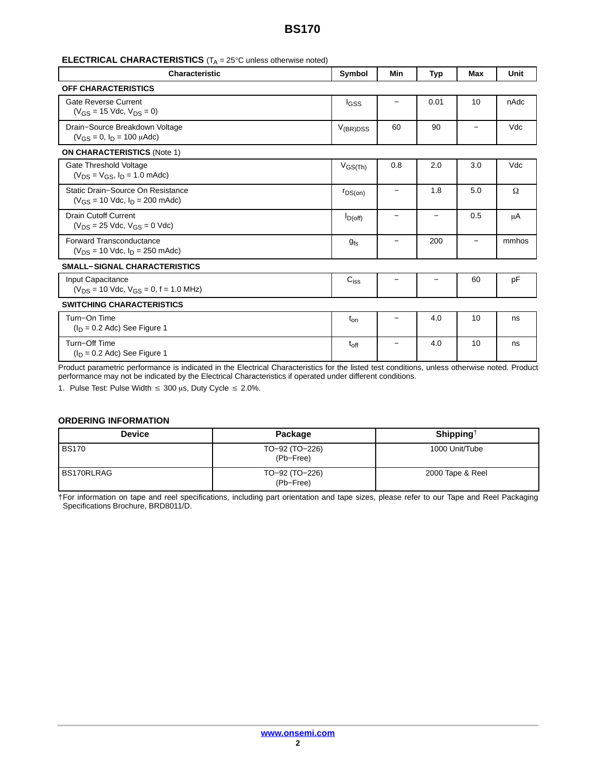## **BS170**

<span id="page-1-0"></span>

| <b>ELECTRICAL CHARACTERISTICS</b> ( $T_A = 25^\circ$ C unless otherwise noted) |  |
|--------------------------------------------------------------------------------|--|
|--------------------------------------------------------------------------------|--|

| <b>Characteristic</b>                                                      | Symbol        | Min | Typ                      | Max | Unit  |
|----------------------------------------------------------------------------|---------------|-----|--------------------------|-----|-------|
| <b>OFF CHARACTERISTICS</b>                                                 |               |     |                          |     |       |
| <b>Gate Reverse Current</b><br>$(V_{GS} = 15$ Vdc, $V_{DS} = 0$ )          | <b>I</b> GSS  |     | 0.01                     | 10  | nAdc  |
| Drain-Source Breakdown Voltage<br>$(V_{GS} = 0, I_D = 100 \mu A d c)$      | $V_{(BR)DSS}$ | 60  | 90                       |     | Vdc   |
| <b>ON CHARACTERISTICS (Note 1)</b>                                         |               |     |                          |     |       |
| Gate Threshold Voltage<br>$(V_{DS} = V_{GS}, I_D = 1.0$ mAdc)              | $V_{GS(Th)}$  | 0.8 | 2.0                      | 3.0 | Vdc   |
| Static Drain-Source On Resistance<br>$(V_{GS} = 10$ Vdc, $I_D = 200$ mAdc) | $r_{DS(on)}$  |     | 1.8                      | 5.0 | Ω     |
| <b>Drain Cutoff Current</b><br>$(V_{DS} = 25$ Vdc, $V_{GS} = 0$ Vdc)       | $I_{D(off)}$  |     | $\overline{\phantom{0}}$ | 0.5 | μA    |
| <b>Forward Transconductance</b><br>$(V_{DS} = 10$ Vdc, $I_D = 250$ mAdc)   | $g_{fs}$      |     | 200                      |     | mmhos |
| <b>SMALL-SIGNAL CHARACTERISTICS</b>                                        |               |     |                          |     |       |
| Input Capacitance<br>$(V_{DS} = 10$ Vdc, $V_{GS} = 0$ , f = 1.0 MHz)       | $C_{iss}$     |     |                          | 60  | pF    |
| <b>SWITCHING CHARACTERISTICS</b>                                           |               |     |                          |     |       |
| Turn-On Time<br>$(I_D = 0.2$ Adc) See Figure 1                             | $t_{on}$      |     | 4.0                      | 10  | ns    |
| Turn-Off Time<br>$(I_D = 0.2$ Adc) See Figure 1                            | $t_{off}$     |     | 4.0                      | 10  | ns    |

Product parametric performance is indicated in the Electrical Characteristics for the listed test conditions, unless otherwise noted. Product performance may not be indicated by the Electrical Characteristics if operated under different conditions.

1. Pulse Test: Pulse Width  $\leq 300$  µs, Duty Cycle  $\leq 2.0\%$ .

#### **ORDERING INFORMATION**

| <b>Device</b> | Package                     | Shipping <sup>†</sup> |
|---------------|-----------------------------|-----------------------|
| <b>BS170</b>  | TO-92 (TO-226)<br>(Pb-Free) | 1000 Unit/Tube        |
| BS170RLRAG    | TO-92 (TO-226)<br>(Pb-Free) | 2000 Tape & Reel      |

†For information on tape and reel specifications, including part orientation and tape sizes, please refer to our Tape and Reel Packaging Specifications Brochure, BRD8011/D.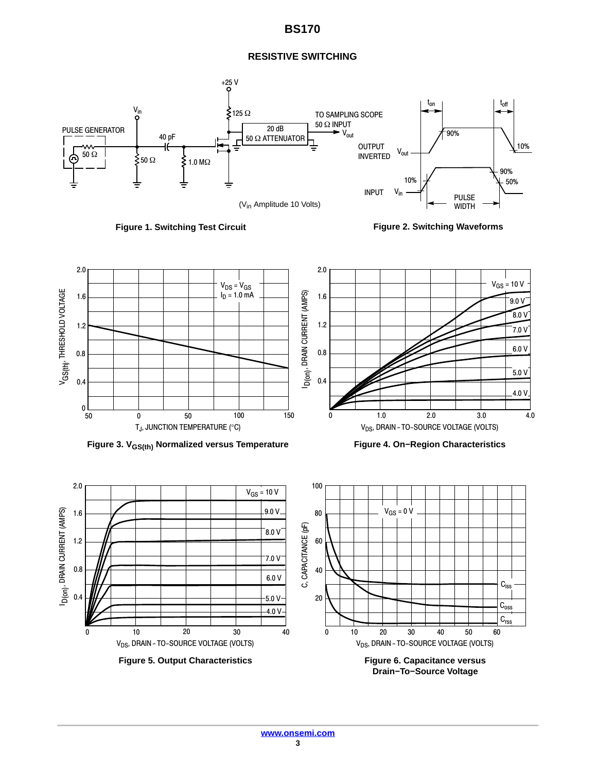## **BS170**

## **RESISTIVE SWITCHING**





**Figure 2. Switching Waveforms**







**Drain−To−Source Voltage**